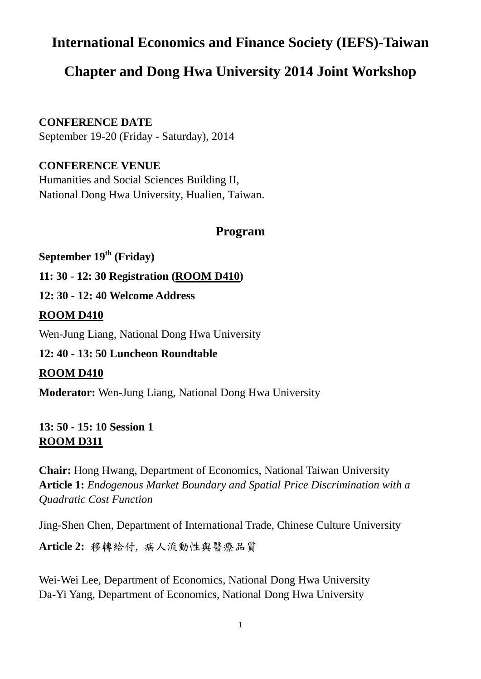# **International Economics and Finance Society (IEFS)-Taiwan**

# **Chapter and Dong Hwa University 2014 Joint Workshop**

**CONFERENCE DATE**

September 19-20 (Friday - Saturday), 2014

**CONFERENCE VENUE**

Humanities and Social Sciences Building II, National Dong Hwa University, Hualien, Taiwan.

## **Program**

**September 19th (Friday)**

**11: 30 - 12: 30 Registration (ROOM D410)**

**12: 30 - 12: 40 Welcome Address**

#### **ROOM D410**

Wen-Jung Liang, National Dong Hwa University

## **12: 40 - 13: 50 Luncheon Roundtable**

#### **ROOM D410**

**Moderator:** Wen-Jung Liang, National Dong Hwa University

**13: 50 - 15: 10 Session 1 ROOM D311**

**Chair:** Hong Hwang, Department of Economics, National Taiwan University **Article 1:** *Endogenous Market Boundary and Spatial Price Discrimination with a Quadratic Cost Function*

Jing-Shen Chen, Department of International Trade, Chinese Culture University

**Article 2:** 移轉給付, 病人流動性與醫療品質

Wei-Wei Lee, Department of Economics, National Dong Hwa University Da-Yi Yang, Department of Economics, National Dong Hwa University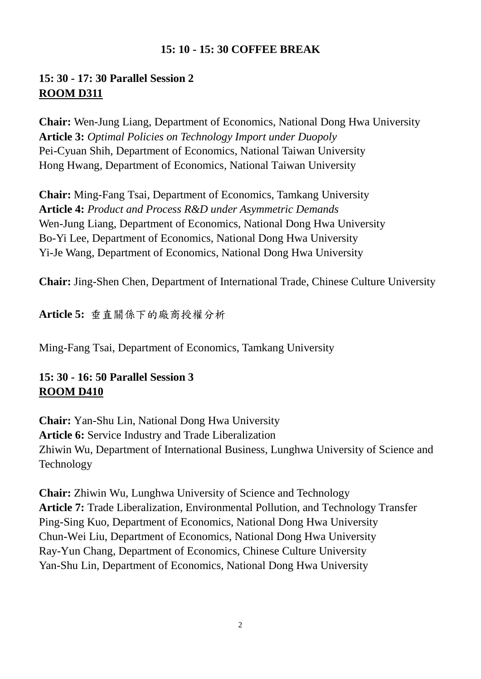#### **15: 10 - 15: 30 COFFEE BREAK**

## **15: 30 - 17: 30 Parallel Session 2 ROOM D311**

**Chair:** Wen-Jung Liang, Department of Economics, National Dong Hwa University **Article 3:** *Optimal Policies on Technology Import under Duopoly* Pei-Cyuan Shih, Department of Economics, National Taiwan University Hong Hwang, Department of Economics, National Taiwan University

**Chair:** Ming-Fang Tsai, Department of Economics, Tamkang University **Article 4:** *Product and Process R&D under Asymmetric Demands* Wen-Jung Liang, Department of Economics, National Dong Hwa University Bo-Yi Lee, Department of Economics, National Dong Hwa University Yi-Je Wang, Department of Economics, National Dong Hwa University

**Chair:** Jing-Shen Chen, Department of International Trade, Chinese Culture University

**Article 5:** 垂直關係下的廠商授權分析

Ming-Fang Tsai, Department of Economics, Tamkang University

## **15: 30 - 16: 50 Parallel Session 3 ROOM D410**

**Chair:** Yan-Shu Lin, National Dong Hwa University **Article 6:** Service Industry and Trade Liberalization Zhiwin Wu, Department of International Business, Lunghwa University of Science and Technology

**Chair:** Zhiwin Wu, Lunghwa University of Science and Technology **Article 7:** Trade Liberalization, Environmental Pollution, and Technology Transfer Ping-Sing Kuo, Department of Economics, National Dong Hwa University Chun-Wei Liu, Department of Economics, National Dong Hwa University Ray-Yun Chang, Department of Economics, Chinese Culture University Yan-Shu Lin, Department of Economics, National Dong Hwa University